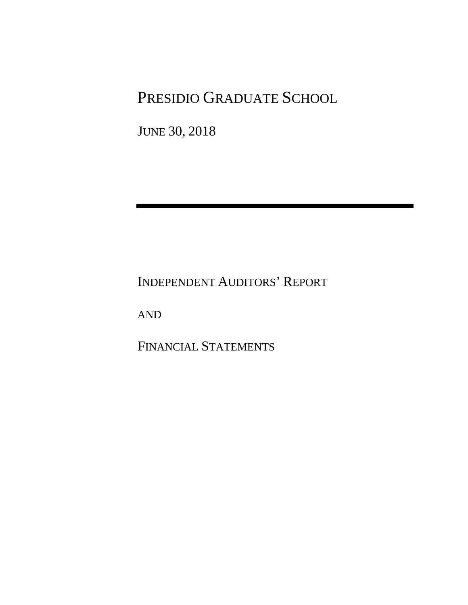# PRESIDIO GRADUATE SCHOOL

JUNE 30, 2018

# INDEPENDENT AUDITORS' REPORT

AND

FINANCIAL STATEMENTS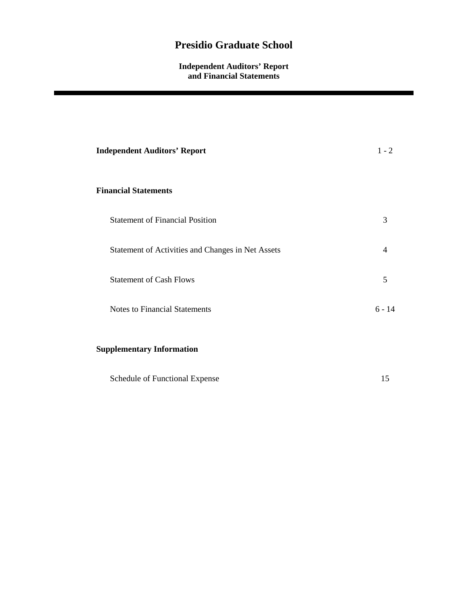# **Independent Auditors' Report and Financial Statements**

| <b>Independent Auditors' Report</b>               | $1 - 2$  |
|---------------------------------------------------|----------|
| <b>Financial Statements</b>                       |          |
| <b>Statement of Financial Position</b>            | 3        |
| Statement of Activities and Changes in Net Assets | 4        |
| <b>Statement of Cash Flows</b>                    | 5        |
| <b>Notes to Financial Statements</b>              | $6 - 14$ |
| <b>Supplementary Information</b>                  |          |

Schedule of Functional Expense 15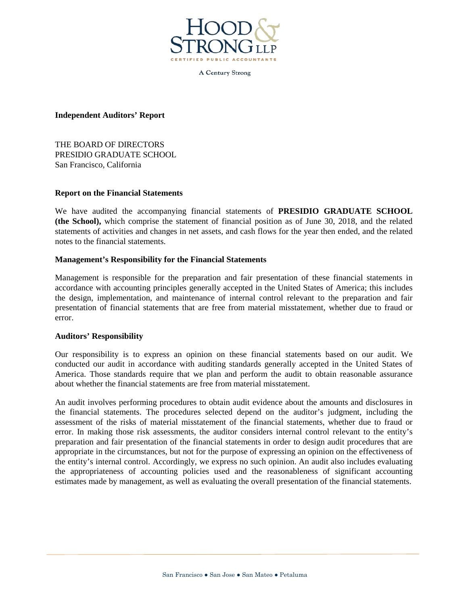

**A Century Strong** 

**Independent Auditors' Report**

THE BOARD OF DIRECTORS PRESIDIO GRADUATE SCHOOL San Francisco, California

### **Report on the Financial Statements**

We have audited the accompanying financial statements of **PRESIDIO GRADUATE SCHOOL (the School),** which comprise the statement of financial position as of June 30, 2018, and the related statements of activities and changes in net assets, and cash flows for the year then ended, and the related notes to the financial statements.

#### **Management's Responsibility for the Financial Statements**

Management is responsible for the preparation and fair presentation of these financial statements in accordance with accounting principles generally accepted in the United States of America; this includes the design, implementation, and maintenance of internal control relevant to the preparation and fair presentation of financial statements that are free from material misstatement, whether due to fraud or error.

#### **Auditors' Responsibility**

Our responsibility is to express an opinion on these financial statements based on our audit. We conducted our audit in accordance with auditing standards generally accepted in the United States of America. Those standards require that we plan and perform the audit to obtain reasonable assurance about whether the financial statements are free from material misstatement.

An audit involves performing procedures to obtain audit evidence about the amounts and disclosures in the financial statements. The procedures selected depend on the auditor's judgment, including the assessment of the risks of material misstatement of the financial statements, whether due to fraud or error. In making those risk assessments, the auditor considers internal control relevant to the entity's preparation and fair presentation of the financial statements in order to design audit procedures that are appropriate in the circumstances, but not for the purpose of expressing an opinion on the effectiveness of the entity's internal control. Accordingly, we express no such opinion. An audit also includes evaluating the appropriateness of accounting policies used and the reasonableness of significant accounting estimates made by management, as well as evaluating the overall presentation of the financial statements.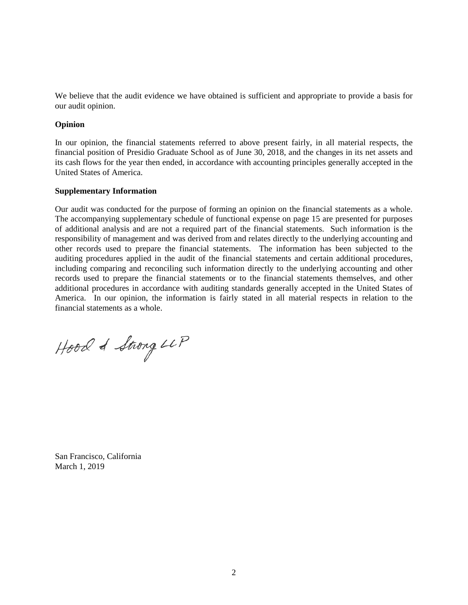We believe that the audit evidence we have obtained is sufficient and appropriate to provide a basis for our audit opinion.

# **Opinion**

In our opinion, the financial statements referred to above present fairly, in all material respects, the financial position of Presidio Graduate School as of June 30, 2018, and the changes in its net assets and its cash flows for the year then ended, in accordance with accounting principles generally accepted in the United States of America.

# **Supplementary Information**

Our audit was conducted for the purpose of forming an opinion on the financial statements as a whole. The accompanying supplementary schedule of functional expense on page 15 are presented for purposes of additional analysis and are not a required part of the financial statements. Such information is the responsibility of management and was derived from and relates directly to the underlying accounting and other records used to prepare the financial statements. The information has been subjected to the auditing procedures applied in the audit of the financial statements and certain additional procedures, including comparing and reconciling such information directly to the underlying accounting and other records used to prepare the financial statements or to the financial statements themselves, and other additional procedures in accordance with auditing standards generally accepted in the United States of America. In our opinion, the information is fairly stated in all material respects in relation to the financial statements as a whole.

Hood & Strong LLP

San Francisco, California March 1, 2019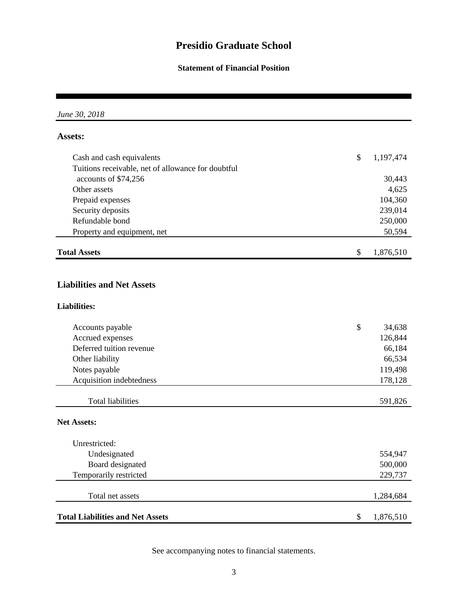# **Statement of Financial Position**

*June 30, 2018*

# **Assets:**

| Cash and cash equivalents                          | \$. | 1,197,474 |
|----------------------------------------------------|-----|-----------|
| Tuitions receivable, net of allowance for doubtful |     |           |
| accounts of \$74,256                               |     | 30,443    |
| Other assets                                       |     | 4,625     |
| Prepaid expenses                                   |     | 104,360   |
| Security deposits                                  |     | 239,014   |
| Refundable bond                                    |     | 250,000   |
| Property and equipment, net                        |     | 50,594    |
|                                                    |     |           |
| <b>Total Assets</b>                                | S   | 1.876.510 |

# **Liabilities and Net Assets**

### **Liabilities:**

| Accounts payable         | $\mathcal{S}$<br>34,638 |
|--------------------------|-------------------------|
| Accrued expenses         | 126,844                 |
| Deferred tuition revenue | 66,184                  |
| Other liability          | 66,534                  |
| Notes payable            | 119,498                 |
| Acquisition indebtedness | 178,128                 |
|                          |                         |
| <b>Total liabilities</b> | 591,826                 |
| <b>Net Assets:</b>       |                         |
| Unrestricted:            |                         |
| Undesignated             | 554,947                 |
| Board designated         | 500,000                 |
| Temporarily restricted   | 229,737                 |
| Total net assets         | 1,284,684               |
|                          |                         |

**Total Liabilities and Net Assets** \$ 1,876,510

See accompanying notes to financial statements.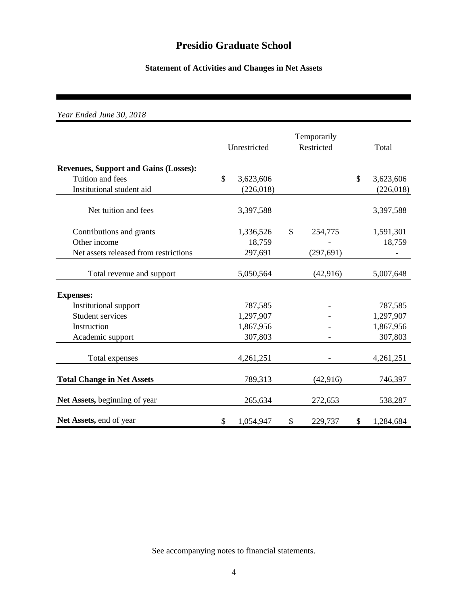# **Statement of Activities and Changes in Net Assets**

| Year Ended June 30, 2018                     |    |              |    |                           |    |            |
|----------------------------------------------|----|--------------|----|---------------------------|----|------------|
|                                              |    | Unrestricted |    | Temporarily<br>Restricted |    | Total      |
| <b>Revenues, Support and Gains (Losses):</b> |    |              |    |                           |    |            |
| Tuition and fees                             | \$ | 3,623,606    |    |                           | \$ | 3,623,606  |
| Institutional student aid                    |    | (226, 018)   |    |                           |    | (226, 018) |
| Net tuition and fees                         |    | 3,397,588    |    |                           |    | 3,397,588  |
| Contributions and grants                     |    | 1,336,526    | \$ | 254,775                   |    | 1,591,301  |
| Other income                                 |    | 18,759       |    |                           |    | 18,759     |
| Net assets released from restrictions        |    | 297,691      |    | (297, 691)                |    |            |
| Total revenue and support                    |    | 5,050,564    |    | (42, 916)                 |    | 5,007,648  |
| <b>Expenses:</b>                             |    |              |    |                           |    |            |
| Institutional support                        |    | 787,585      |    |                           |    | 787,585    |
| <b>Student services</b>                      |    | 1,297,907    |    |                           |    | 1,297,907  |
| Instruction                                  |    | 1,867,956    |    |                           |    | 1,867,956  |
| Academic support                             |    | 307,803      |    |                           |    | 307,803    |
| Total expenses                               |    | 4,261,251    |    |                           |    | 4,261,251  |
| <b>Total Change in Net Assets</b>            |    | 789,313      |    | (42, 916)                 |    | 746,397    |
| Net Assets, beginning of year                |    | 265,634      |    | 272,653                   |    | 538,287    |
| Net Assets, end of year                      | \$ | 1,054,947    | \$ | 229,737                   | \$ | 1,284,684  |

See accompanying notes to financial statements.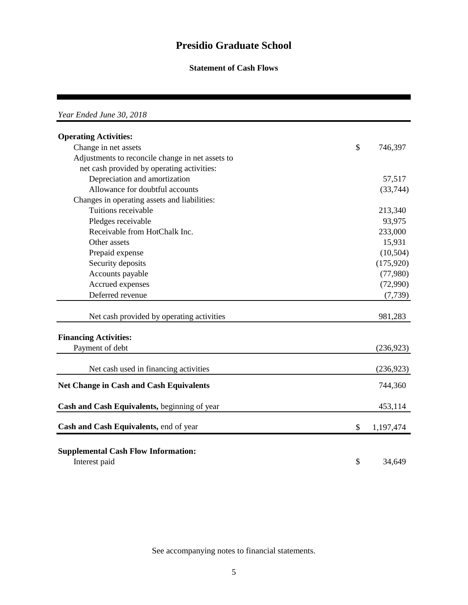# **Statement of Cash Flows**

*Year Ended June 30, 2018*

| <b>Operating Activities:</b>                                |                 |
|-------------------------------------------------------------|-----------------|
| Change in net assets                                        | \$<br>746,397   |
| Adjustments to reconcile change in net assets to            |                 |
| net cash provided by operating activities:                  |                 |
| Depreciation and amortization                               | 57,517          |
| Allowance for doubtful accounts                             | (33,744)        |
| Changes in operating assets and liabilities:                |                 |
| Tuitions receivable                                         | 213,340         |
| Pledges receivable                                          | 93,975          |
| Receivable from HotChalk Inc.                               | 233,000         |
| Other assets                                                | 15,931          |
| Prepaid expense                                             | (10, 504)       |
| Security deposits                                           | (175, 920)      |
| Accounts payable                                            | (77,980)        |
| Accrued expenses                                            | (72,990)        |
| Deferred revenue                                            | (7, 739)        |
| Net cash provided by operating activities                   | 981,283         |
| <b>Financing Activities:</b>                                |                 |
| Payment of debt                                             | (236, 923)      |
| Net cash used in financing activities                       | (236, 923)      |
| <b>Net Change in Cash and Cash Equivalents</b>              | 744,360         |
| Cash and Cash Equivalents, beginning of year                | 453,114         |
| Cash and Cash Equivalents, end of year                      | \$<br>1,197,474 |
| <b>Supplemental Cash Flow Information:</b><br>Interest paid | \$<br>34,649    |

See accompanying notes to financial statements.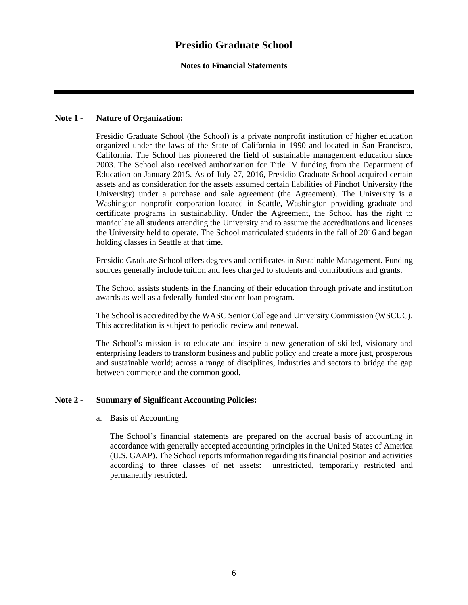# **Notes to Financial Statements**

### **Note 1 - Nature of Organization:**

Presidio Graduate School (the School) is a private nonprofit institution of higher education organized under the laws of the State of California in 1990 and located in San Francisco, California. The School has pioneered the field of sustainable management education since 2003. The School also received authorization for Title IV funding from the Department of Education on January 2015. As of July 27, 2016, Presidio Graduate School acquired certain assets and as consideration for the assets assumed certain liabilities of Pinchot University (the University) under a purchase and sale agreement (the Agreement). The University is a Washington nonprofit corporation located in Seattle, Washington providing graduate and certificate programs in sustainability. Under the Agreement, the School has the right to matriculate all students attending the University and to assume the accreditations and licenses the University held to operate. The School matriculated students in the fall of 2016 and began holding classes in Seattle at that time.

Presidio Graduate School offers degrees and certificates in Sustainable Management. Funding sources generally include tuition and fees charged to students and contributions and grants.

The School assists students in the financing of their education through private and institution awards as well as a federally-funded student loan program.

The School is accredited by the WASC Senior College and University Commission (WSCUC). This accreditation is subject to periodic review and renewal.

The School's mission is to educate and inspire a new generation of skilled, visionary and enterprising leaders to transform business and public policy and create a more just, prosperous and sustainable world; across a range of disciplines, industries and sectors to bridge the gap between commerce and the common good.

### **Note 2 - Summary of Significant Accounting Policies:**

#### a. Basis of Accounting

The School's financial statements are prepared on the accrual basis of accounting in accordance with generally accepted accounting principles in the United States of America (U.S. GAAP). The School reports information regarding its financial position and activities according to three classes of net assets: unrestricted, temporarily restricted and permanently restricted.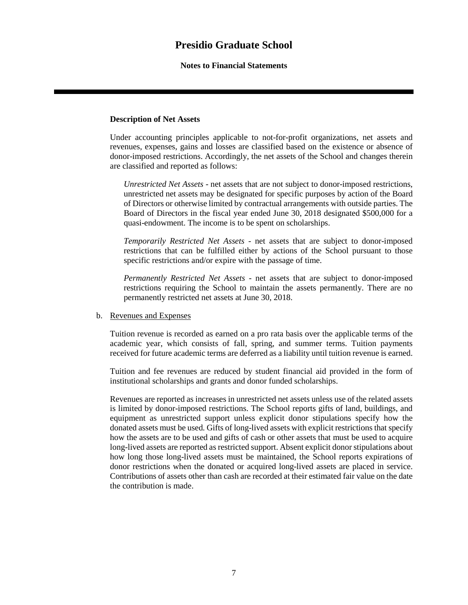### **Notes to Financial Statements**

#### **Description of Net Assets**

Under accounting principles applicable to not-for-profit organizations, net assets and revenues, expenses, gains and losses are classified based on the existence or absence of donor-imposed restrictions. Accordingly, the net assets of the School and changes therein are classified and reported as follows:

*Unrestricted Net Assets* - net assets that are not subject to donor-imposed restrictions, unrestricted net assets may be designated for specific purposes by action of the Board of Directors or otherwise limited by contractual arrangements with outside parties. The Board of Directors in the fiscal year ended June 30, 2018 designated \$500,000 for a quasi-endowment. The income is to be spent on scholarships.

*Temporarily Restricted Net Assets* - net assets that are subject to donor-imposed restrictions that can be fulfilled either by actions of the School pursuant to those specific restrictions and/or expire with the passage of time.

*Permanently Restricted Net Assets* - net assets that are subject to donor-imposed restrictions requiring the School to maintain the assets permanently. There are no permanently restricted net assets at June 30, 2018.

#### b. Revenues and Expenses

Tuition revenue is recorded as earned on a pro rata basis over the applicable terms of the academic year, which consists of fall, spring, and summer terms. Tuition payments received for future academic terms are deferred as a liability until tuition revenue is earned.

Tuition and fee revenues are reduced by student financial aid provided in the form of institutional scholarships and grants and donor funded scholarships.

Revenues are reported as increases in unrestricted net assets unless use of the related assets is limited by donor-imposed restrictions. The School reports gifts of land, buildings, and equipment as unrestricted support unless explicit donor stipulations specify how the donated assets must be used. Gifts of long-lived assets with explicit restrictions that specify how the assets are to be used and gifts of cash or other assets that must be used to acquire long-lived assets are reported as restricted support. Absent explicit donor stipulations about how long those long-lived assets must be maintained, the School reports expirations of donor restrictions when the donated or acquired long-lived assets are placed in service. Contributions of assets other than cash are recorded at their estimated fair value on the date the contribution is made.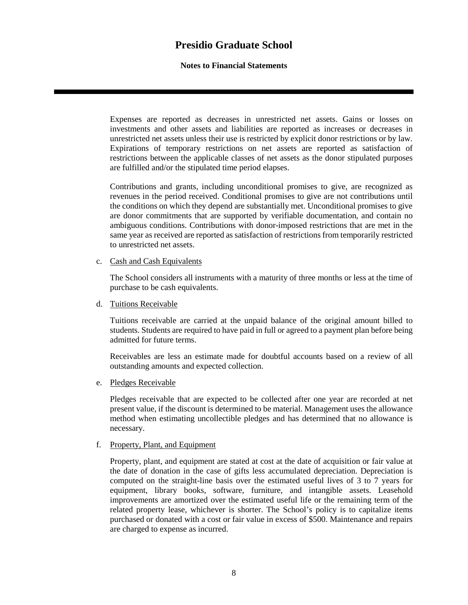# **Notes to Financial Statements**

Expenses are reported as decreases in unrestricted net assets. Gains or losses on investments and other assets and liabilities are reported as increases or decreases in unrestricted net assets unless their use is restricted by explicit donor restrictions or by law. Expirations of temporary restrictions on net assets are reported as satisfaction of restrictions between the applicable classes of net assets as the donor stipulated purposes are fulfilled and/or the stipulated time period elapses.

Contributions and grants, including unconditional promises to give, are recognized as revenues in the period received. Conditional promises to give are not contributions until the conditions on which they depend are substantially met. Unconditional promises to give are donor commitments that are supported by verifiable documentation, and contain no ambiguous conditions. Contributions with donor-imposed restrictions that are met in the same year as received are reported as satisfaction of restrictions from temporarily restricted to unrestricted net assets.

### c. Cash and Cash Equivalents

The School considers all instruments with a maturity of three months or less at the time of purchase to be cash equivalents.

d. Tuitions Receivable

Tuitions receivable are carried at the unpaid balance of the original amount billed to students. Students are required to have paid in full or agreed to a payment plan before being admitted for future terms.

Receivables are less an estimate made for doubtful accounts based on a review of all outstanding amounts and expected collection.

e. Pledges Receivable

Pledges receivable that are expected to be collected after one year are recorded at net present value, if the discount is determined to be material. Management uses the allowance method when estimating uncollectible pledges and has determined that no allowance is necessary.

# f. Property, Plant, and Equipment

Property, plant, and equipment are stated at cost at the date of acquisition or fair value at the date of donation in the case of gifts less accumulated depreciation. Depreciation is computed on the straight-line basis over the estimated useful lives of 3 to 7 years for equipment, library books, software, furniture, and intangible assets. Leasehold improvements are amortized over the estimated useful life or the remaining term of the related property lease, whichever is shorter. The School's policy is to capitalize items purchased or donated with a cost or fair value in excess of \$500. Maintenance and repairs are charged to expense as incurred.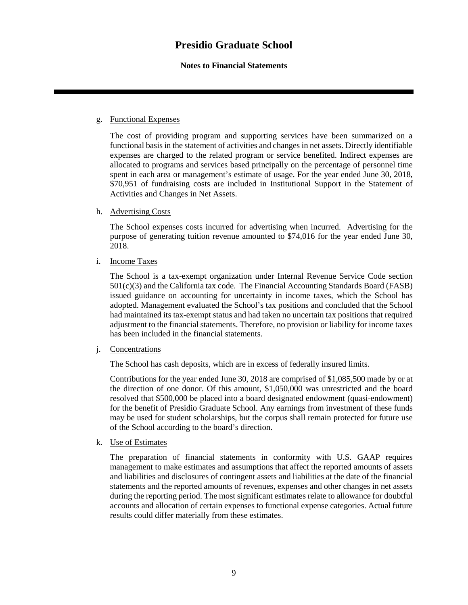# **Notes to Financial Statements**

### g. Functional Expenses

The cost of providing program and supporting services have been summarized on a functional basis in the statement of activities and changes in net assets. Directly identifiable expenses are charged to the related program or service benefited. Indirect expenses are allocated to programs and services based principally on the percentage of personnel time spent in each area or management's estimate of usage. For the year ended June 30, 2018, \$70,951 of fundraising costs are included in Institutional Support in the Statement of Activities and Changes in Net Assets.

h. Advertising Costs

The School expenses costs incurred for advertising when incurred. Advertising for the purpose of generating tuition revenue amounted to \$74,016 for the year ended June 30, 2018.

i. Income Taxes

The School is a tax-exempt organization under Internal Revenue Service Code section 501(c)(3) and the California tax code. The Financial Accounting Standards Board (FASB) issued guidance on accounting for uncertainty in income taxes, which the School has adopted. Management evaluated the School's tax positions and concluded that the School had maintained its tax-exempt status and had taken no uncertain tax positions that required adjustment to the financial statements. Therefore, no provision or liability for income taxes has been included in the financial statements.

j. Concentrations

The School has cash deposits, which are in excess of federally insured limits.

Contributions for the year ended June 30, 2018 are comprised of \$1,085,500 made by or at the direction of one donor. Of this amount, \$1,050,000 was unrestricted and the board resolved that \$500,000 be placed into a board designated endowment (quasi-endowment) for the benefit of Presidio Graduate School. Any earnings from investment of these funds may be used for student scholarships, but the corpus shall remain protected for future use of the School according to the board's direction.

k. Use of Estimates

The preparation of financial statements in conformity with U.S. GAAP requires management to make estimates and assumptions that affect the reported amounts of assets and liabilities and disclosures of contingent assets and liabilities at the date of the financial statements and the reported amounts of revenues, expenses and other changes in net assets during the reporting period. The most significant estimates relate to allowance for doubtful accounts and allocation of certain expenses to functional expense categories. Actual future results could differ materially from these estimates.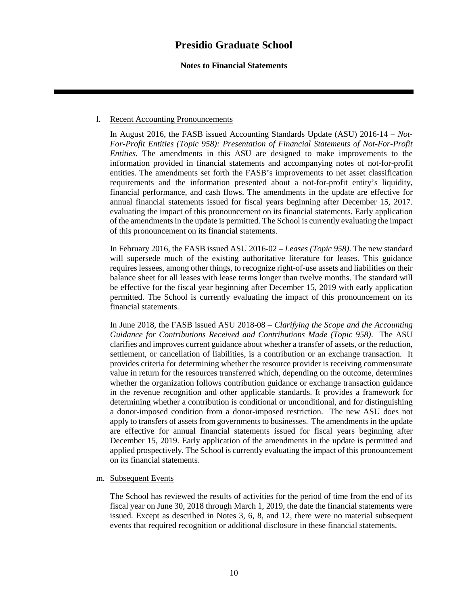### **Notes to Financial Statements**

#### l. Recent Accounting Pronouncements

In August 2016, the FASB issued Accounting Standards Update (ASU) 2016-14 – *Not-For-Profit Entities (Topic 958): Presentation of Financial Statements of Not-For-Profit Entities.* The amendments in this ASU are designed to make improvements to the information provided in financial statements and accompanying notes of not-for-profit entities. The amendments set forth the FASB's improvements to net asset classification requirements and the information presented about a not-for-profit entity's liquidity, financial performance, and cash flows. The amendments in the update are effective for annual financial statements issued for fiscal years beginning after December 15, 2017. evaluating the impact of this pronouncement on its financial statements. Early application of the amendments in the update is permitted. The School is currently evaluating the impact of this pronouncement on its financial statements.

In February 2016, the FASB issued ASU 2016-02 – *Leases (Topic 958)*. The new standard will supersede much of the existing authoritative literature for leases. This guidance requires lessees, among other things, to recognize right-of-use assets and liabilities on their balance sheet for all leases with lease terms longer than twelve months. The standard will be effective for the fiscal year beginning after December 15, 2019 with early application permitted. The School is currently evaluating the impact of this pronouncement on its financial statements.

In June 2018, the FASB issued ASU 2018-08 – *Clarifying the Scope and the Accounting Guidance for Contributions Received and Contributions Made (Topic 958)*. The ASU clarifies and improves current guidance about whether a transfer of assets, or the reduction, settlement, or cancellation of liabilities, is a contribution or an exchange transaction. It provides criteria for determining whether the resource provider is receiving commensurate value in return for the resources transferred which, depending on the outcome, determines whether the organization follows contribution guidance or exchange transaction guidance in the revenue recognition and other applicable standards. It provides a framework for determining whether a contribution is conditional or unconditional, and for distinguishing a donor-imposed condition from a donor-imposed restriction. The new ASU does not apply to transfers of assets from governments to businesses. The amendments in the update are effective for annual financial statements issued for fiscal years beginning after December 15, 2019. Early application of the amendments in the update is permitted and applied prospectively. The School is currently evaluating the impact of this pronouncement on its financial statements.

#### m. Subsequent Events

The School has reviewed the results of activities for the period of time from the end of its fiscal year on June 30, 2018 through March 1, 2019, the date the financial statements were issued. Except as described in Notes 3, 6, 8, and 12, there were no material subsequent events that required recognition or additional disclosure in these financial statements.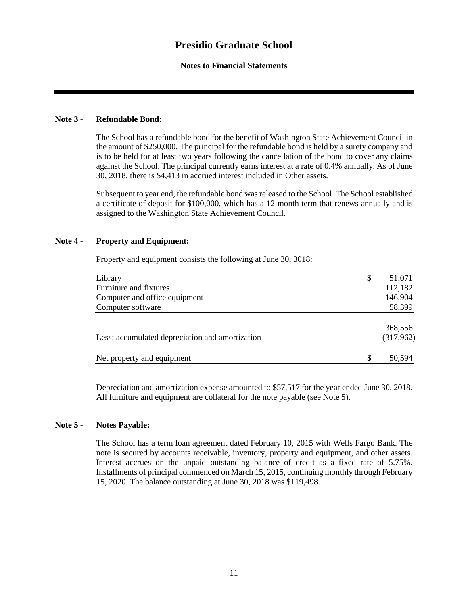# **Notes to Financial Statements**

### **Note 3 - Refundable Bond:**

The School has a refundable bond for the benefit of Washington State Achievement Council in the amount of \$250,000. The principal for the refundable bond is held by a surety company and is to be held for at least two years following the cancellation of the bond to cover any claims against the School. The principal currently earns interest at a rate of 0.4% annually. As of June 30, 2018, there is \$4,413 in accrued interest included in Other assets.

Subsequent to year end, the refundable bond was released to the School. The School established a certificate of deposit for \$100,000, which has a 12-month term that renews annually and is assigned to the Washington State Achievement Council.

### **Note 4 - Property and Equipment:**

Property and equipment consists the following at June 30, 3018:

| Library                                         | \$<br>51,071 |
|-------------------------------------------------|--------------|
| Furniture and fixtures                          | 112,182      |
| Computer and office equipment                   | 146,904      |
| Computer software                               | 58,399       |
|                                                 |              |
|                                                 | 368,556      |
| Less: accumulated depreciation and amortization | (317,962)    |
|                                                 |              |
| Net property and equipment                      | \$<br>50,594 |

Depreciation and amortization expense amounted to \$57,517 for the year ended June 30, 2018. All furniture and equipment are collateral for the note payable (see Note 5).

#### **Note 5 - Notes Payable:**

The School has a term loan agreement dated February 10, 2015 with Wells Fargo Bank. The note is secured by accounts receivable, inventory, property and equipment, and other assets. Interest accrues on the unpaid outstanding balance of credit as a fixed rate of 5.75%. Installments of principal commenced on March 15, 2015, continuing monthly through February 15, 2020. The balance outstanding at June 30, 2018 was \$119,498.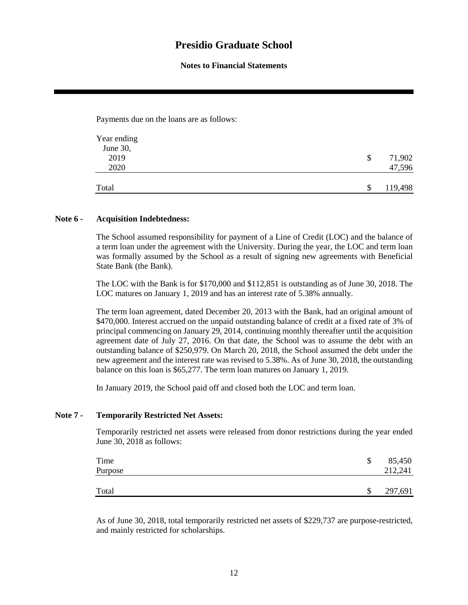**Notes to Financial Statements**

Payments due on the loans are as follows:

| Year ending |               |
|-------------|---------------|
| June 30,    |               |
| 2019        | \$<br>71,902  |
| 2020        | 47,596        |
|             |               |
| Total       | \$<br>119,498 |

### **Note 6 - Acquisition Indebtedness:**

The School assumed responsibility for payment of a Line of Credit (LOC) and the balance of a term loan under the agreement with the University. During the year, the LOC and term loan was formally assumed by the School as a result of signing new agreements with Beneficial State Bank (the Bank).

The LOC with the Bank is for \$170,000 and \$112,851 is outstanding as of June 30, 2018. The LOC matures on January 1, 2019 and has an interest rate of 5.38% annually.

The term loan agreement, dated December 20, 2013 with the Bank, had an original amount of \$470,000. Interest accrued on the unpaid outstanding balance of credit at a fixed rate of 3% of principal commencing on January 29, 2014, continuing monthly thereafter until the acquisition agreement date of July 27, 2016. On that date, the School was to assume the debt with an outstanding balance of \$250,979. On March 20, 2018, the School assumed the debt under the new agreement and the interest rate was revised to 5.38%. As of June 30, 2018, the outstanding balance on this loan is \$65,277. The term loan matures on January 1, 2019.

In January 2019, the School paid off and closed both the LOC and term loan.

#### **Note 7 - Temporarily Restricted Net Assets:**

Temporarily restricted net assets were released from donor restrictions during the year ended June 30, 2018 as follows:

| Time<br>Purpose | J | 85,450<br>212,241 |
|-----------------|---|-------------------|
| Total           | S | 297,691           |

As of June 30, 2018, total temporarily restricted net assets of \$229,737 are purpose-restricted, and mainly restricted for scholarships.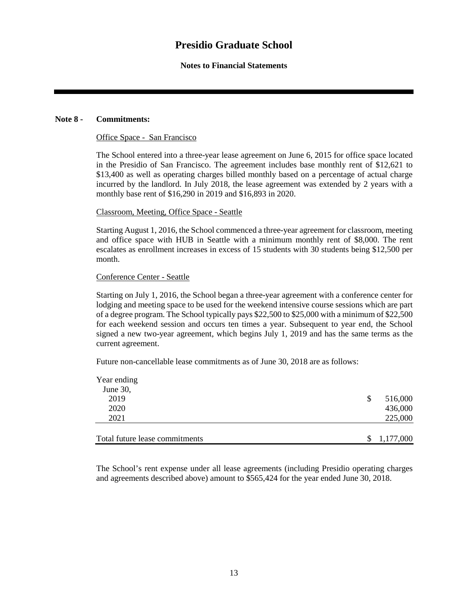# **Notes to Financial Statements**

#### **Note 8 - Commitments:**

### Office Space - San Francisco

The School entered into a three-year lease agreement on June 6, 2015 for office space located in the Presidio of San Francisco. The agreement includes base monthly rent of \$12,621 to \$13,400 as well as operating charges billed monthly based on a percentage of actual charge incurred by the landlord. In July 2018, the lease agreement was extended by 2 years with a monthly base rent of \$16,290 in 2019 and \$16,893 in 2020.

### Classroom, Meeting, Office Space - Seattle

Starting August 1, 2016, the School commenced a three-year agreement for classroom, meeting and office space with HUB in Seattle with a minimum monthly rent of \$8,000. The rent escalates as enrollment increases in excess of 15 students with 30 students being \$12,500 per month.

### Conference Center - Seattle

Starting on July 1, 2016, the School began a three-year agreement with a conference center for lodging and meeting space to be used for the weekend intensive course sessions which are part of a degree program. The School typically pays \$22,500 to \$25,000 with a minimum of \$22,500 for each weekend session and occurs ten times a year. Subsequent to year end, the School signed a new two-year agreement, which begins July 1, 2019 and has the same terms as the current agreement.

Future non-cancellable lease commitments as of June 30, 2018 are as follows:

| Year ending                    |                 |
|--------------------------------|-----------------|
| June 30,                       |                 |
| 2019                           | 516,000<br>\$   |
| 2020                           | 436,000         |
| 2021                           | 225,000         |
|                                |                 |
| Total future lease commitments | 1,177,000<br>S. |

The School's rent expense under all lease agreements (including Presidio operating charges and agreements described above) amount to \$565,424 for the year ended June 30, 2018.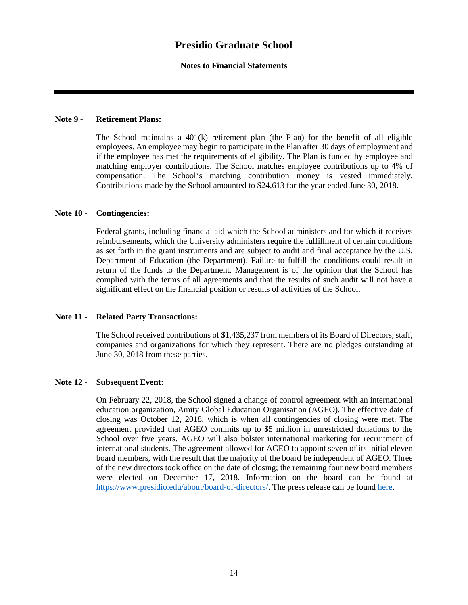# **Notes to Financial Statements**

### **Note 9 - Retirement Plans:**

The School maintains a  $401(k)$  retirement plan (the Plan) for the benefit of all eligible employees. An employee may begin to participate in the Plan after 30 days of employment and if the employee has met the requirements of eligibility. The Plan is funded by employee and matching employer contributions. The School matches employee contributions up to 4% of compensation. The School's matching contribution money is vested immediately. Contributions made by the School amounted to \$24,613 for the year ended June 30, 2018.

# **Note 10 - Contingencies:**

Federal grants, including financial aid which the School administers and for which it receives reimbursements, which the University administers require the fulfillment of certain conditions as set forth in the grant instruments and are subject to audit and final acceptance by the U.S. Department of Education (the Department). Failure to fulfill the conditions could result in return of the funds to the Department. Management is of the opinion that the School has complied with the terms of all agreements and that the results of such audit will not have a significant effect on the financial position or results of activities of the School.

# **Note 11 - Related Party Transactions:**

The School received contributions of \$1,435,237 from members of its Board of Directors, staff, companies and organizations for which they represent. There are no pledges outstanding at June 30, 2018 from these parties.

# **Note 12 - Subsequent Event:**

On February 22, 2018, the School signed a change of control agreement with an international education organization, Amity Global Education Organisation (AGEO). The effective date of closing was October 12, 2018, which is when all contingencies of closing were met. The agreement provided that AGEO commits up to \$5 million in unrestricted donations to the School over five years. AGEO will also bolster international marketing for recruitment of international students. The agreement allowed for AGEO to appoint seven of its initial eleven board members, with the result that the majority of the board be independent of AGEO. Three of the new directors took office on the date of closing; the remaining four new board members were elected on December 17, 2018. Information on the board can be found at [https://www.presidio.edu/about/board-of-directors/.](https://www.presidio.edu/about/board-of-directors/) The press release can be found [here.](https://www.prweb.com/releases/sustainability_pioneer_joins_with_global_education_leader_in_partnership_to_expand_international_sustainability_education/prweb16095452.htm)